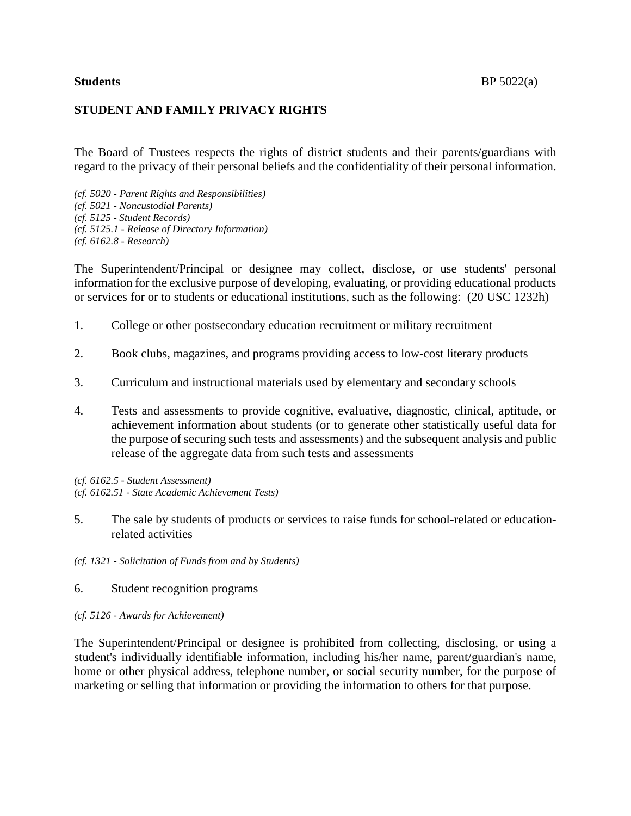# **STUDENT AND FAMILY PRIVACY RIGHTS**

The Board of Trustees respects the rights of district students and their parents/guardians with regard to the privacy of their personal beliefs and the confidentiality of their personal information.

*(cf. 5020 - Parent Rights and Responsibilities) (cf. 5021 - Noncustodial Parents) (cf. 5125 - Student Records) (cf. 5125.1 - Release of Directory Information) (cf. 6162.8 - Research)*

The Superintendent/Principal or designee may collect, disclose, or use students' personal information for the exclusive purpose of developing, evaluating, or providing educational products or services for or to students or educational institutions, such as the following: (20 USC 1232h)

- 1. College or other postsecondary education recruitment or military recruitment
- 2. Book clubs, magazines, and programs providing access to low-cost literary products
- 3. Curriculum and instructional materials used by elementary and secondary schools
- 4. Tests and assessments to provide cognitive, evaluative, diagnostic, clinical, aptitude, or achievement information about students (or to generate other statistically useful data for the purpose of securing such tests and assessments) and the subsequent analysis and public release of the aggregate data from such tests and assessments

*(cf. 6162.5 - Student Assessment) (cf. 6162.51 - State Academic Achievement Tests)*

5. The sale by students of products or services to raise funds for school-related or educationrelated activities

*(cf. 1321 - Solicitation of Funds from and by Students)*

#### 6. Student recognition programs

*(cf. 5126 - Awards for Achievement)*

The Superintendent/Principal or designee is prohibited from collecting, disclosing, or using a student's individually identifiable information, including his/her name, parent/guardian's name, home or other physical address, telephone number, or social security number, for the purpose of marketing or selling that information or providing the information to others for that purpose.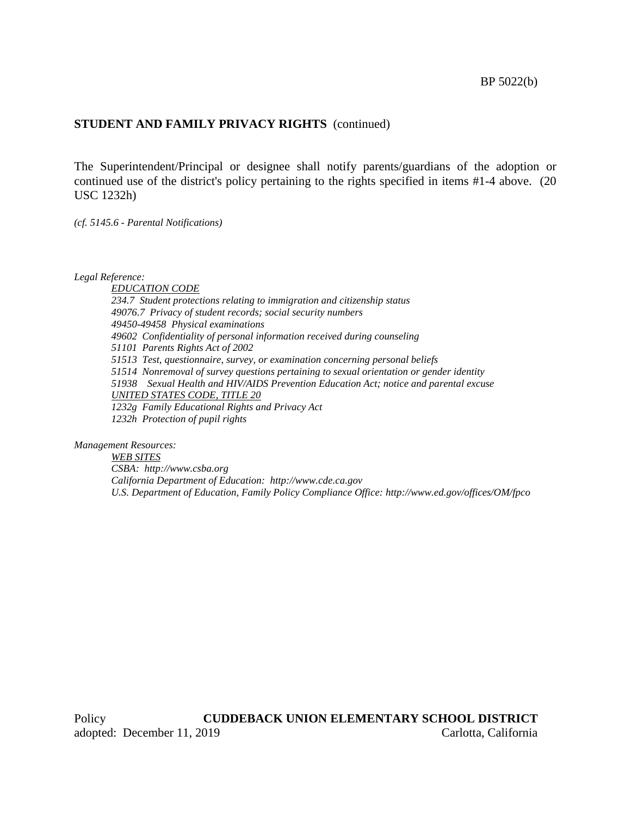#### **STUDENT AND FAMILY PRIVACY RIGHTS** (continued)

The Superintendent/Principal or designee shall notify parents/guardians of the adoption or continued use of the district's policy pertaining to the rights specified in items #1-4 above. (20 USC 1232h)

*(cf. 5145.6 - Parental Notifications)*

*Legal Reference:*

*EDUCATION CODE 234.7 Student protections relating to immigration and citizenship status 49076.7 Privacy of student records; social security numbers 49450-49458 Physical examinations 49602 Confidentiality of personal information received during counseling 51101 Parents Rights Act of 2002 51513 Test, questionnaire, survey, or examination concerning personal beliefs 51514 Nonremoval of survey questions pertaining to sexual orientation or gender identity 51938 Sexual Health and HIV/AIDS Prevention Education Act; notice and parental excuse UNITED STATES CODE, TITLE 20 1232g Family Educational Rights and Privacy Act 1232h Protection of pupil rights*

*Management Resources:*

*WEB SITES CSBA: http://www.csba.org California Department of Education: http://www.cde.ca.gov U.S. Department of Education, Family Policy Compliance Office: http://www.ed.gov/offices/OM/fpco*

Policy **CUDDEBACK UNION ELEMENTARY SCHOOL DISTRICT** adopted: December 11, 2019 Carlotta, California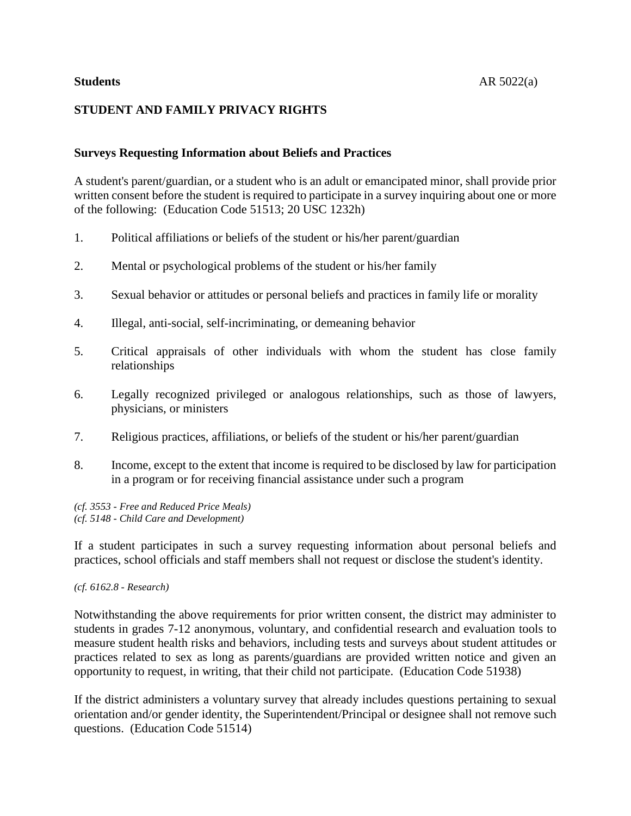# **STUDENT AND FAMILY PRIVACY RIGHTS**

## **Surveys Requesting Information about Beliefs and Practices**

A student's parent/guardian, or a student who is an adult or emancipated minor, shall provide prior written consent before the student is required to participate in a survey inquiring about one or more of the following: (Education Code 51513; 20 USC 1232h)

- 1. Political affiliations or beliefs of the student or his/her parent/guardian
- 2. Mental or psychological problems of the student or his/her family
- 3. Sexual behavior or attitudes or personal beliefs and practices in family life or morality
- 4. Illegal, anti-social, self-incriminating, or demeaning behavior
- 5. Critical appraisals of other individuals with whom the student has close family relationships
- 6. Legally recognized privileged or analogous relationships, such as those of lawyers, physicians, or ministers
- 7. Religious practices, affiliations, or beliefs of the student or his/her parent/guardian
- 8. Income, except to the extent that income is required to be disclosed by law for participation in a program or for receiving financial assistance under such a program

*(cf. 3553 - Free and Reduced Price Meals) (cf. 5148 - Child Care and Development)*

If a student participates in such a survey requesting information about personal beliefs and practices, school officials and staff members shall not request or disclose the student's identity.

#### *(cf. 6162.8 - Research)*

Notwithstanding the above requirements for prior written consent, the district may administer to students in grades 7-12 anonymous, voluntary, and confidential research and evaluation tools to measure student health risks and behaviors, including tests and surveys about student attitudes or practices related to sex as long as parents/guardians are provided written notice and given an opportunity to request, in writing, that their child not participate. (Education Code 51938)

If the district administers a voluntary survey that already includes questions pertaining to sexual orientation and/or gender identity, the Superintendent/Principal or designee shall not remove such questions. (Education Code 51514)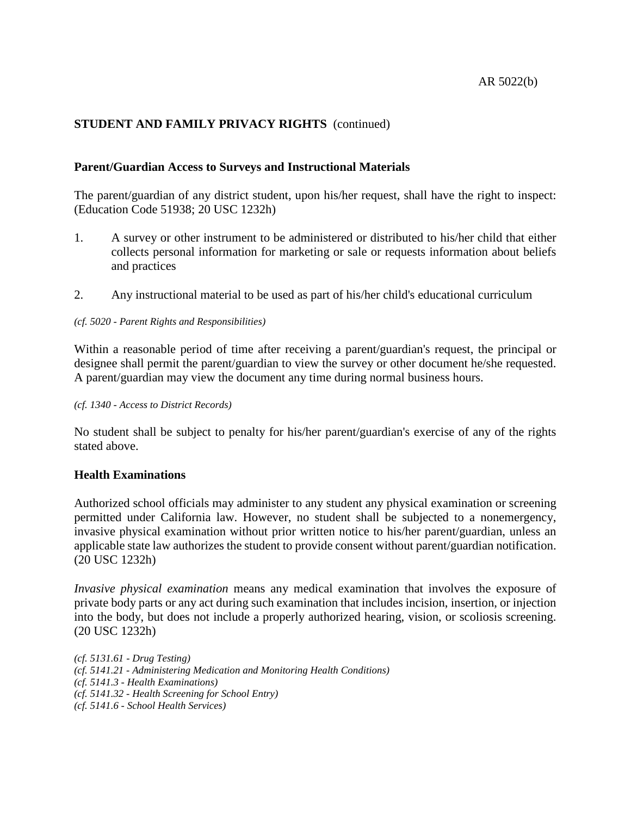# **STUDENT AND FAMILY PRIVACY RIGHTS** (continued)

# **Parent/Guardian Access to Surveys and Instructional Materials**

The parent/guardian of any district student, upon his/her request, shall have the right to inspect: (Education Code 51938; 20 USC 1232h)

- 1. A survey or other instrument to be administered or distributed to his/her child that either collects personal information for marketing or sale or requests information about beliefs and practices
- 2. Any instructional material to be used as part of his/her child's educational curriculum

## *(cf. 5020 - Parent Rights and Responsibilities)*

Within a reasonable period of time after receiving a parent/guardian's request, the principal or designee shall permit the parent/guardian to view the survey or other document he/she requested. A parent/guardian may view the document any time during normal business hours.

### *(cf. 1340 - Access to District Records)*

No student shall be subject to penalty for his/her parent/guardian's exercise of any of the rights stated above.

## **Health Examinations**

Authorized school officials may administer to any student any physical examination or screening permitted under California law. However, no student shall be subjected to a nonemergency, invasive physical examination without prior written notice to his/her parent/guardian, unless an applicable state law authorizes the student to provide consent without parent/guardian notification. (20 USC 1232h)

*Invasive physical examination* means any medical examination that involves the exposure of private body parts or any act during such examination that includes incision, insertion, or injection into the body, but does not include a properly authorized hearing, vision, or scoliosis screening. (20 USC 1232h)

*(cf. 5131.61 - Drug Testing) (cf. 5141.21 - Administering Medication and Monitoring Health Conditions) (cf. 5141.3 - Health Examinations) (cf. 5141.32 - Health Screening for School Entry) (cf. 5141.6 - School Health Services)*